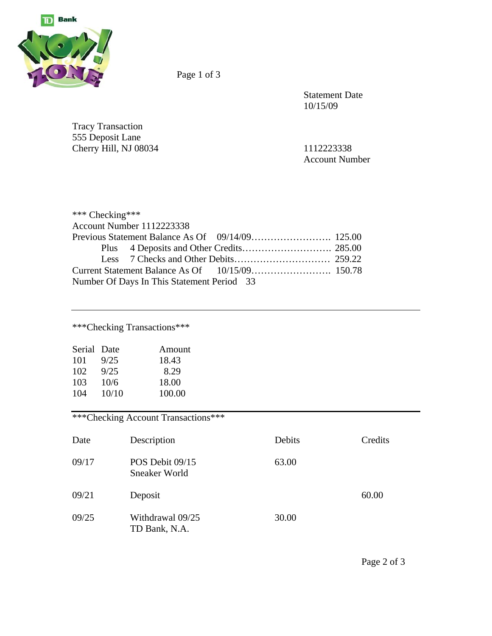

Page 1 of 3

 Statement Date 10/15/09

Tracy Transaction 555 Deposit Lane Cherry Hill, NJ 08034 1112223338

Account Number

| *** Checking*** |                                            |  |
|-----------------|--------------------------------------------|--|
|                 | Account Number 1112223338                  |  |
|                 |                                            |  |
|                 |                                            |  |
|                 |                                            |  |
|                 |                                            |  |
|                 | Number Of Days In This Statement Period 33 |  |

\*\*\*Checking Transactions\*\*\*

| Amount |
|--------|
|        |
|        |
|        |
|        |
|        |

\*\*\*Checking Account Transactions\*\*\*

| Date  | Description                       | Debits | Credits |
|-------|-----------------------------------|--------|---------|
| 09/17 | POS Debit 09/15<br>Sneaker World  | 63.00  |         |
| 09/21 | Deposit                           |        | 60.00   |
| 09/25 | Withdrawal 09/25<br>TD Bank, N.A. | 30.00  |         |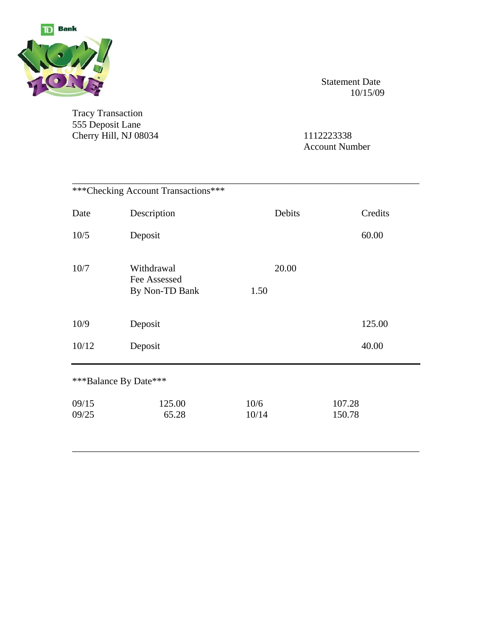

Tracy Transaction 555 Deposit Lane Cherry Hill, NJ 08034 1112223338

 Statement Date 10/15/09

Account Number

|                | *** Checking Account Transactions***         |               |                  |
|----------------|----------------------------------------------|---------------|------------------|
| Date           | Description                                  | Debits        | Credits          |
| 10/5           | Deposit                                      |               | 60.00            |
| 10/7           | Withdrawal<br>Fee Assessed<br>By Non-TD Bank | 20.00<br>1.50 |                  |
| 10/9           | Deposit                                      |               | 125.00           |
| 10/12          | Deposit                                      |               | 40.00            |
|                | ***Balance By Date***                        |               |                  |
| 09/15<br>09/25 | 125.00<br>65.28                              | 10/6<br>10/14 | 107.28<br>150.78 |

\_\_\_\_\_\_\_\_\_\_\_\_\_\_\_\_\_\_\_\_\_\_\_\_\_\_\_\_\_\_\_\_\_\_\_\_\_\_\_\_\_\_\_\_\_\_\_\_\_\_\_\_\_\_\_\_\_\_\_\_\_\_\_\_\_\_\_\_\_\_\_\_